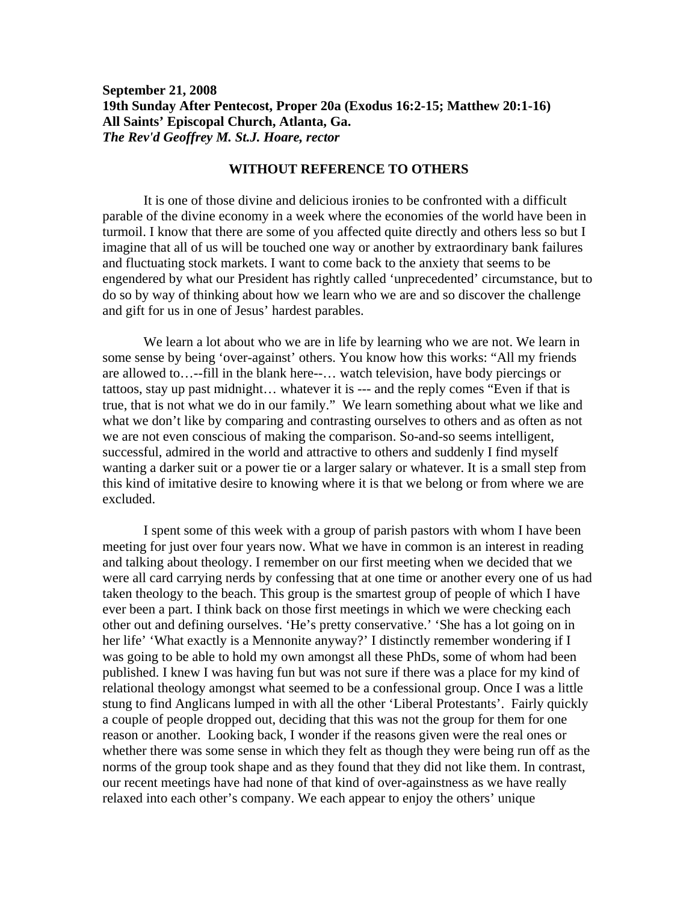## **September 21, 2008 19th Sunday After Pentecost, Proper 20a (Exodus 16:2-15; Matthew 20:1-16) All Saints' Episcopal Church, Atlanta, Ga.**  *The Rev'd Geoffrey M. St.J. Hoare, rector*

## **WITHOUT REFERENCE TO OTHERS**

 It is one of those divine and delicious ironies to be confronted with a difficult parable of the divine economy in a week where the economies of the world have been in turmoil. I know that there are some of you affected quite directly and others less so but I imagine that all of us will be touched one way or another by extraordinary bank failures and fluctuating stock markets. I want to come back to the anxiety that seems to be engendered by what our President has rightly called 'unprecedented' circumstance, but to do so by way of thinking about how we learn who we are and so discover the challenge and gift for us in one of Jesus' hardest parables.

 We learn a lot about who we are in life by learning who we are not. We learn in some sense by being 'over-against' others. You know how this works: "All my friends are allowed to…--fill in the blank here--… watch television, have body piercings or tattoos, stay up past midnight… whatever it is --- and the reply comes "Even if that is true, that is not what we do in our family." We learn something about what we like and what we don't like by comparing and contrasting ourselves to others and as often as not we are not even conscious of making the comparison. So-and-so seems intelligent, successful, admired in the world and attractive to others and suddenly I find myself wanting a darker suit or a power tie or a larger salary or whatever. It is a small step from this kind of imitative desire to knowing where it is that we belong or from where we are excluded.

 I spent some of this week with a group of parish pastors with whom I have been meeting for just over four years now. What we have in common is an interest in reading and talking about theology. I remember on our first meeting when we decided that we were all card carrying nerds by confessing that at one time or another every one of us had taken theology to the beach. This group is the smartest group of people of which I have ever been a part. I think back on those first meetings in which we were checking each other out and defining ourselves. 'He's pretty conservative.' 'She has a lot going on in her life' 'What exactly is a Mennonite anyway?' I distinctly remember wondering if I was going to be able to hold my own amongst all these PhDs, some of whom had been published. I knew I was having fun but was not sure if there was a place for my kind of relational theology amongst what seemed to be a confessional group. Once I was a little stung to find Anglicans lumped in with all the other 'Liberal Protestants'. Fairly quickly a couple of people dropped out, deciding that this was not the group for them for one reason or another. Looking back, I wonder if the reasons given were the real ones or whether there was some sense in which they felt as though they were being run off as the norms of the group took shape and as they found that they did not like them. In contrast, our recent meetings have had none of that kind of over-againstness as we have really relaxed into each other's company. We each appear to enjoy the others' unique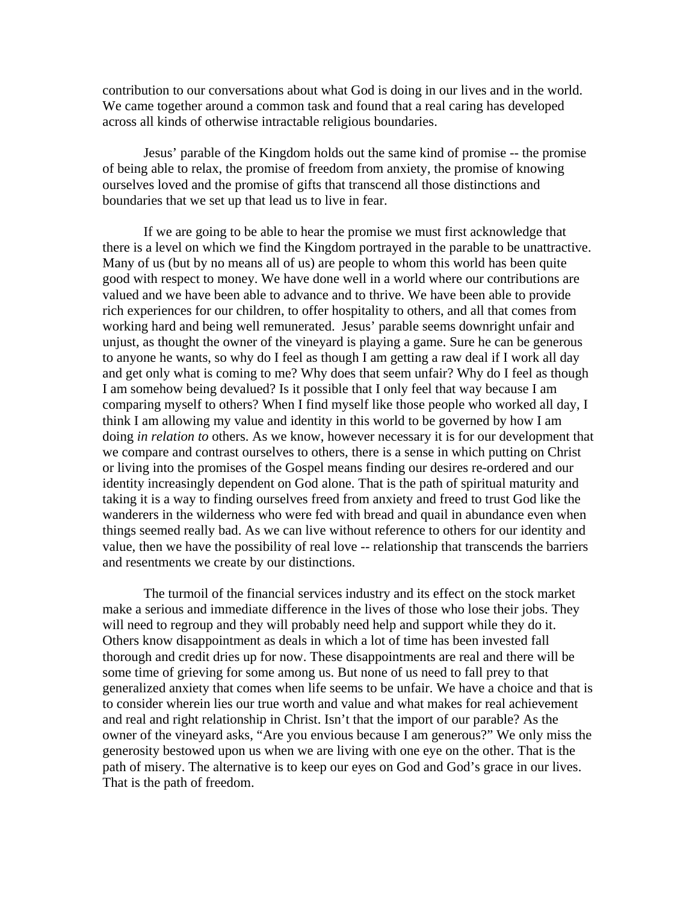contribution to our conversations about what God is doing in our lives and in the world. We came together around a common task and found that a real caring has developed across all kinds of otherwise intractable religious boundaries.

 Jesus' parable of the Kingdom holds out the same kind of promise -- the promise of being able to relax, the promise of freedom from anxiety, the promise of knowing ourselves loved and the promise of gifts that transcend all those distinctions and boundaries that we set up that lead us to live in fear.

 If we are going to be able to hear the promise we must first acknowledge that there is a level on which we find the Kingdom portrayed in the parable to be unattractive. Many of us (but by no means all of us) are people to whom this world has been quite good with respect to money. We have done well in a world where our contributions are valued and we have been able to advance and to thrive. We have been able to provide rich experiences for our children, to offer hospitality to others, and all that comes from working hard and being well remunerated. Jesus' parable seems downright unfair and unjust, as thought the owner of the vineyard is playing a game. Sure he can be generous to anyone he wants, so why do I feel as though I am getting a raw deal if I work all day and get only what is coming to me? Why does that seem unfair? Why do I feel as though I am somehow being devalued? Is it possible that I only feel that way because I am comparing myself to others? When I find myself like those people who worked all day, I think I am allowing my value and identity in this world to be governed by how I am doing *in relation to* others. As we know, however necessary it is for our development that we compare and contrast ourselves to others, there is a sense in which putting on Christ or living into the promises of the Gospel means finding our desires re-ordered and our identity increasingly dependent on God alone. That is the path of spiritual maturity and taking it is a way to finding ourselves freed from anxiety and freed to trust God like the wanderers in the wilderness who were fed with bread and quail in abundance even when things seemed really bad. As we can live without reference to others for our identity and value, then we have the possibility of real love -- relationship that transcends the barriers and resentments we create by our distinctions.

 The turmoil of the financial services industry and its effect on the stock market make a serious and immediate difference in the lives of those who lose their jobs. They will need to regroup and they will probably need help and support while they do it. Others know disappointment as deals in which a lot of time has been invested fall thorough and credit dries up for now. These disappointments are real and there will be some time of grieving for some among us. But none of us need to fall prey to that generalized anxiety that comes when life seems to be unfair. We have a choice and that is to consider wherein lies our true worth and value and what makes for real achievement and real and right relationship in Christ. Isn't that the import of our parable? As the owner of the vineyard asks, "Are you envious because I am generous?" We only miss the generosity bestowed upon us when we are living with one eye on the other. That is the path of misery. The alternative is to keep our eyes on God and God's grace in our lives. That is the path of freedom.